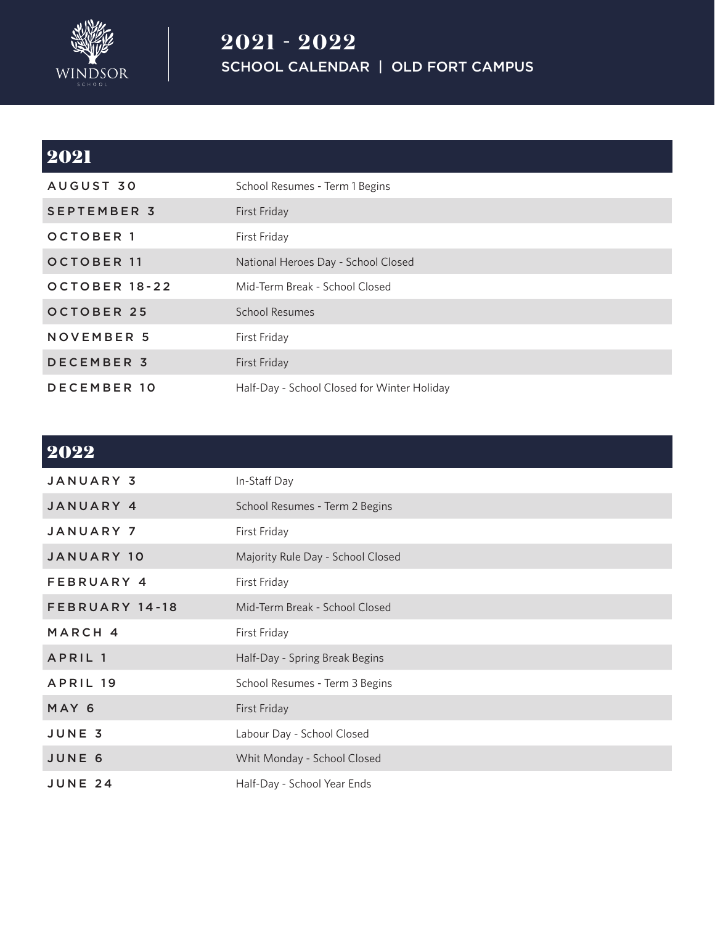

## **2021 - 2022** SCHOOL CALENDAR | OLD FORT CAMPUS

| 2021               |                                             |
|--------------------|---------------------------------------------|
| AUGUST 30          | School Resumes - Term 1 Begins              |
| <b>SEPTEMBER 3</b> | First Friday                                |
| <b>OCTOBER 1</b>   | First Friday                                |
| <b>OCTOBER 11</b>  | National Heroes Day - School Closed         |
| OCTOBER 18-22      | Mid-Term Break - School Closed              |
| <b>OCTOBER 25</b>  | <b>School Resumes</b>                       |
| <b>NOVEMBER 5</b>  | First Friday                                |
| <b>DECEMBER 3</b>  | First Friday                                |
| <b>DECEMBER 10</b> | Half-Day - School Closed for Winter Holiday |

## 2022

| <b>JANUARY 3</b>   | In-Staff Day                      |
|--------------------|-----------------------------------|
| JANUARY 4          | School Resumes - Term 2 Begins    |
| <b>JANUARY 7</b>   | First Friday                      |
| <b>JANUARY 10</b>  | Majority Rule Day - School Closed |
| FEBRUARY 4         | First Friday                      |
| FEBRUARY 14-18     | Mid-Term Break - School Closed    |
| MARCH 4            | First Friday                      |
| APRIL <sub>1</sub> | Half-Day - Spring Break Begins    |
| APRIL 19           | School Resumes - Term 3 Begins    |
| MAY 6              | First Friday                      |
| JUNE 3             | Labour Day - School Closed        |
| JUNE 6             | Whit Monday - School Closed       |
| <b>JUNE 24</b>     | Half-Day - School Year Ends       |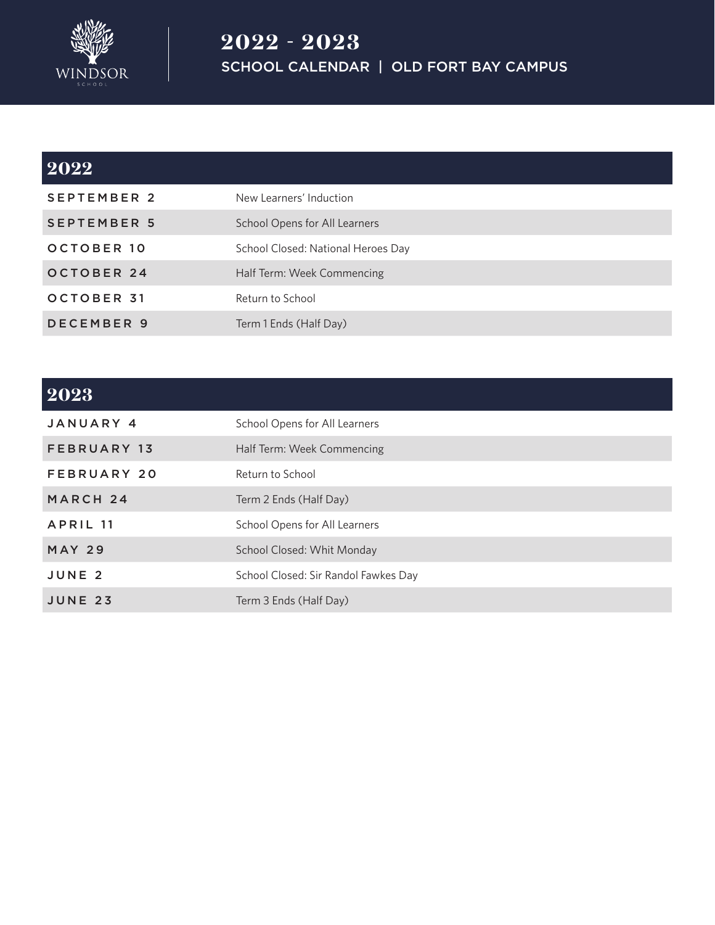

# **2022** SEPTEMBER 2 New Learners' Induction SEPTEMBER 5 School Opens for All Learners OCTOBER 10 School Closed: National Heroes Day OCTOBER 24 Half Term: Week Commencing OCTOBER 31 Return to School DECEMBER 9 Term 1 Ends (Half Day)

#### **2023**

| JANUARY 4         | School Opens for All Learners        |
|-------------------|--------------------------------------|
| FEBRUARY 13       | Half Term: Week Commencing           |
| FEBRUARY 20       | Return to School                     |
| MARCH 24          | Term 2 Ends (Half Day)               |
| APRIL 11          | School Opens for All Learners        |
| <b>MAY 29</b>     | School Closed: Whit Monday           |
| JUNE <sub>2</sub> | School Closed: Sir Randol Fawkes Day |
| JUNE 23           | Term 3 Ends (Half Day)               |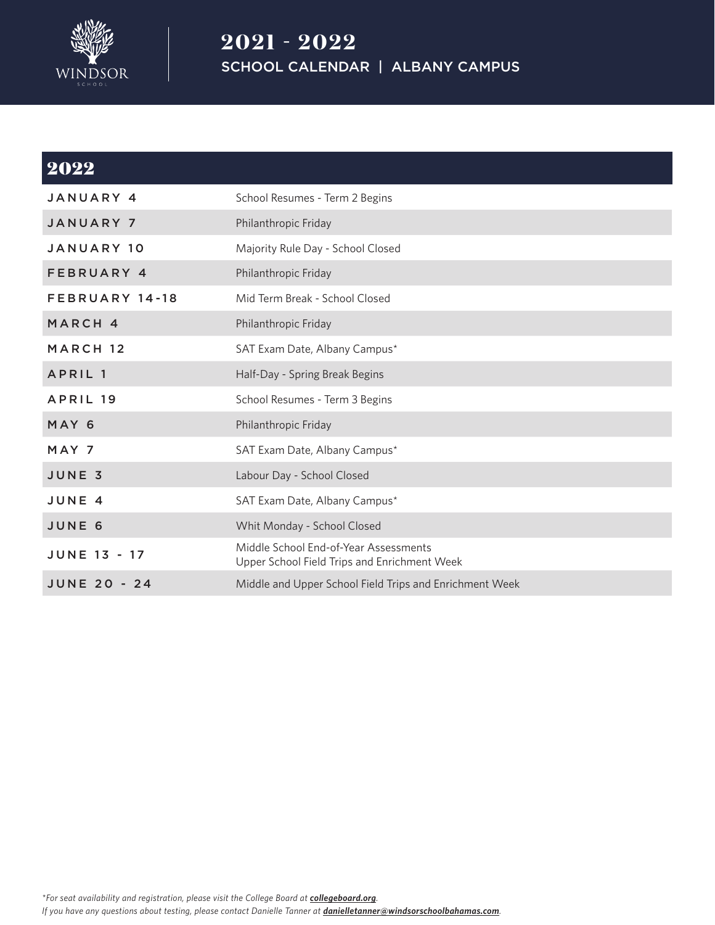

## **2021 - 2022** SCHOOL CALENDAR | ALBANY CAMPUS

| 2022                |                                                                                       |
|---------------------|---------------------------------------------------------------------------------------|
| JANUARY 4           | School Resumes - Term 2 Begins                                                        |
| <b>JANUARY 7</b>    | Philanthropic Friday                                                                  |
| <b>JANUARY 10</b>   | Majority Rule Day - School Closed                                                     |
| FEBRUARY 4          | Philanthropic Friday                                                                  |
| FEBRUARY 14-18      | Mid Term Break - School Closed                                                        |
| MARCH 4             | Philanthropic Friday                                                                  |
| MARCH <sub>12</sub> | SAT Exam Date, Albany Campus*                                                         |
| APRIL <sub>1</sub>  | Half-Day - Spring Break Begins                                                        |
| APRIL 19            | School Resumes - Term 3 Begins                                                        |
| MAY 6               | Philanthropic Friday                                                                  |
| MAY 7               | SAT Exam Date, Albany Campus*                                                         |
| JUNE 3              | Labour Day - School Closed                                                            |
| JUNE 4              | SAT Exam Date, Albany Campus*                                                         |
| JUNE 6              | Whit Monday - School Closed                                                           |
| <b>JUNE 13 - 17</b> | Middle School End-of-Year Assessments<br>Upper School Field Trips and Enrichment Week |
| <b>JUNE 20 - 24</b> | Middle and Upper School Field Trips and Enrichment Week                               |